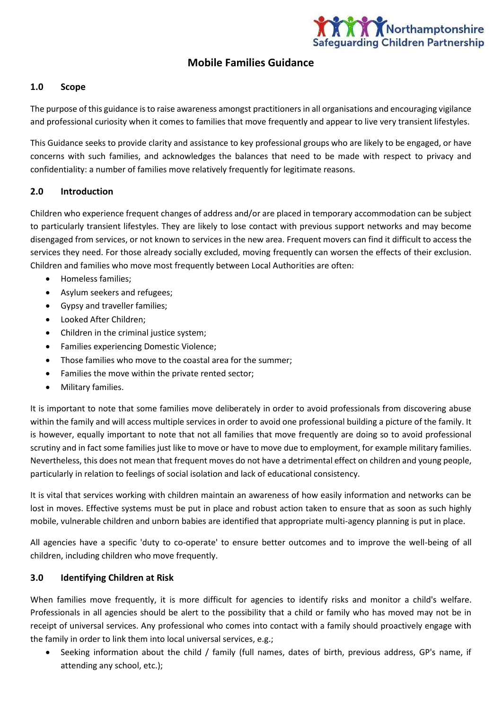

# **Mobile Families Guidance**

### **1.0 Scope**

The purpose of this guidance is to raise awareness amongst practitioners in all organisations and encouraging vigilance and professional curiosity when it comes to families that move frequently and appear to live very transient lifestyles.

This Guidance seeks to provide clarity and assistance to key professional groups who are likely to be engaged, or have concerns with such families, and acknowledges the balances that need to be made with respect to privacy and confidentiality: a number of families move relatively frequently for legitimate reasons.

#### **2.0 Introduction**

Children who experience frequent changes of address and/or are placed in temporary accommodation can be subject to particularly transient lifestyles. They are likely to lose contact with previous support networks and may become disengaged from services, or not known to services in the new area. Frequent movers can find it difficult to access the services they need. For those already socially excluded, moving frequently can worsen the effects of their exclusion. Children and families who move most frequently between Local Authorities are often:

- Homeless families;
- Asylum seekers and refugees;
- Gypsy and traveller families;
- Looked After Children;
- Children in the criminal justice system;
- Families experiencing Domestic Violence;
- Those families who move to the coastal area for the summer;
- Families the move within the private rented sector;
- Military families.

It is important to note that some families move deliberately in order to avoid professionals from discovering abuse within the family and will access multiple services in order to avoid one professional building a picture of the family. It is however, equally important to note that not all families that move frequently are doing so to avoid professional scrutiny and in fact some families just like to move or have to move due to employment, for example military families. Nevertheless, this does not mean that frequent moves do not have a detrimental effect on children and young people, particularly in relation to feelings of social isolation and lack of educational consistency.

It is vital that services working with children maintain an awareness of how easily information and networks can be lost in moves. Effective systems must be put in place and robust action taken to ensure that as soon as such highly mobile, vulnerable children and unborn babies are identified that appropriate multi-agency planning is put in place.

All agencies have a specific 'duty to co-operate' to ensure better outcomes and to improve the well-being of all children, including children who move frequently.

#### **3.0 Identifying Children at Risk**

When families move frequently, it is more difficult for agencies to identify risks and monitor a child's welfare. Professionals in all agencies should be alert to the possibility that a child or family who has moved may not be in receipt of universal services. Any professional who comes into contact with a family should proactively engage with the family in order to link them into local universal services, e.g.;

 Seeking information about the child / family (full names, dates of birth, previous address, GP's name, if attending any school, etc.);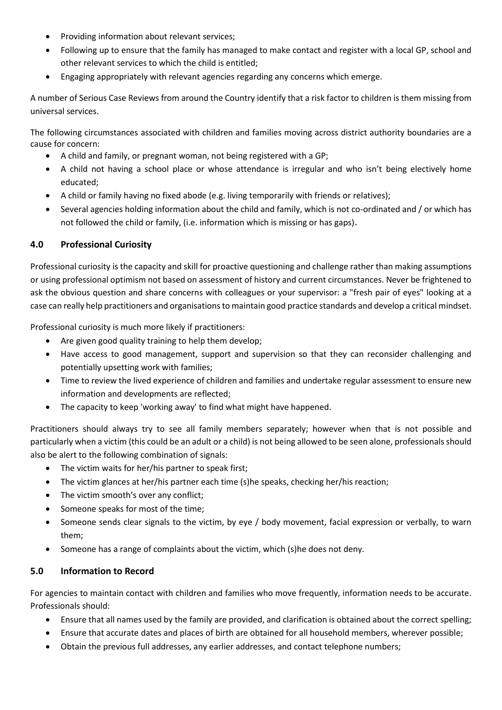- Providing information about relevant services;
- Following up to ensure that the family has managed to make contact and register with a local GP, school and other relevant services to which the child is entitled;
- Engaging appropriately with relevant agencies regarding any concerns which emerge.

A number of Serious Case Reviews from around the Country identify that a risk factor to children is them missing from universal services.

The following circumstances associated with children and families moving across district authority boundaries are a cause for concern:

- A child and family, or pregnant woman, not being registered with a GP;
- A child not having a school place or whose attendance is irregular and who isn't being electively home educated;
- A child or family having no fixed abode (e.g. living temporarily with friends or relatives);
- Several agencies holding information about the child and family, which is not co-ordinated and / or which has not followed the child or family, (i.e. information which is missing or has gaps)**.**

# **4.0 Professional Curiosity**

Professional curiosity is the capacity and skill for proactive questioning and challenge rather than making assumptions or using professional optimism not based on assessment of history and current circumstances. Never be frightened to ask the obvious question and share concerns with colleagues or your supervisor: a "fresh pair of eyes" looking at a case can really help practitioners and organisations to maintain good practice standards and develop a critical mindset.

Professional curiosity is much more likely if practitioners:

- Are given good quality training to help them develop;
- Have access to good management, support and supervision so that they can reconsider challenging and potentially upsetting work with families;
- Time to review the lived experience of children and families and undertake regular assessment to ensure new information and developments are reflected;
- The capacity to keep 'working away' to find what might have happened.

Practitioners should always try to see all family members separately; however when that is not possible and particularly when a victim (this could be an adult or a child) is not being allowed to be seen alone, professionals should also be alert to the following combination of signals:

- The victim waits for her/his partner to speak first;
- The victim glances at her/his partner each time (s)he speaks, checking her/his reaction;
- The victim smooth's over any conflict;
- Someone speaks for most of the time;
- Someone sends clear signals to the victim, by eye / body movement, facial expression or verbally, to warn them;
- Someone has a range of complaints about the victim, which (s)he does not deny.

## **5.0 Information to Record**

For agencies to maintain contact with children and families who move frequently, information needs to be accurate. Professionals should:

- Ensure that all names used by the family are provided, and clarification is obtained about the correct spelling;
- Ensure that accurate dates and places of birth are obtained for all household members, wherever possible;
- Obtain the previous full addresses, any earlier addresses, and contact telephone numbers;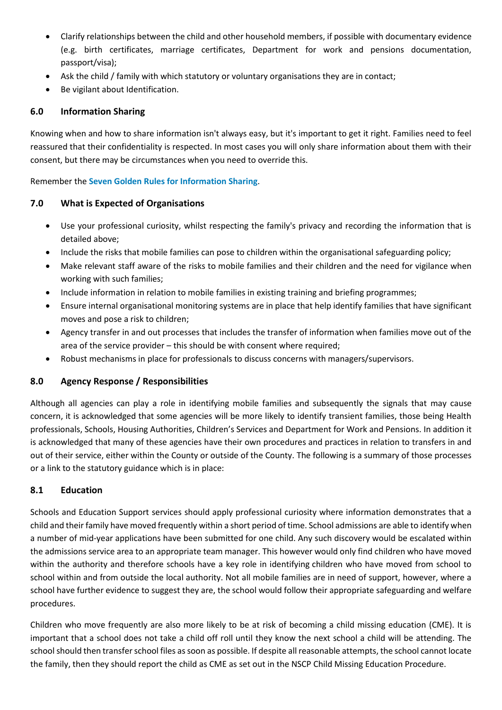- Clarify relationships between the child and other household members, if possible with documentary evidence (e.g. birth certificates, marriage certificates, Department for work and pensions documentation, passport/visa);
- Ask the child / family with which statutory or voluntary organisations they are in contact;
- Be vigilant about Identification.

### **6.0 Information Sharing**

Knowing when and how to share information isn't always easy, but it's important to get it right. Families need to feel reassured that their confidentiality is respected. In most cases you will only share information about them with their consent, but there may be circumstances when you need to override this.

Remember the **[Seven Golden Rules for Information Sharing](http://northamptonshirescb.proceduresonline.com/p_info_sharing.html)**.

### **7.0 What is Expected of Organisations**

- Use your professional curiosity, whilst respecting the family's privacy and recording the information that is detailed above;
- Include the risks that mobile families can pose to children within the organisational safeguarding policy;
- Make relevant staff aware of the risks to mobile families and their children and the need for vigilance when working with such families;
- Include information in relation to mobile families in existing training and briefing programmes;
- Ensure internal organisational monitoring systems are in place that help identify families that have significant moves and pose a risk to children;
- Agency transfer in and out processes that includes the transfer of information when families move out of the area of the service provider – this should be with consent where required;
- Robust mechanisms in place for professionals to discuss concerns with managers/supervisors.

### **8.0 Agency Response / Responsibilities**

Although all agencies can play a role in identifying mobile families and subsequently the signals that may cause concern, it is acknowledged that some agencies will be more likely to identify transient families, those being Health professionals, Schools, Housing Authorities, Children's Services and Department for Work and Pensions. In addition it is acknowledged that many of these agencies have their own procedures and practices in relation to transfers in and out of their service, either within the County or outside of the County. The following is a summary of those processes or a link to the statutory guidance which is in place:

### **8.1 Education**

Schools and Education Support services should apply professional curiosity where information demonstrates that a child and their family have moved frequently within a short period of time. School admissions are able to identify when a number of mid-year applications have been submitted for one child. Any such discovery would be escalated within the admissions service area to an appropriate team manager. This however would only find children who have moved within the authority and therefore schools have a key role in identifying children who have moved from school to school within and from outside the local authority. Not all mobile families are in need of support, however, where a school have further evidence to suggest they are, the school would follow their appropriate safeguarding and welfare procedures.

Children who move frequently are also more likely to be at risk of becoming a child missing education (CME). It is important that a school does not take a child off roll until they know the next school a child will be attending. The school should then transfer school files as soon as possible. If despite all reasonable attempts, the school cannot locate the family, then they should report the child as CME as set out in the NSCP Child Missing Education Procedure.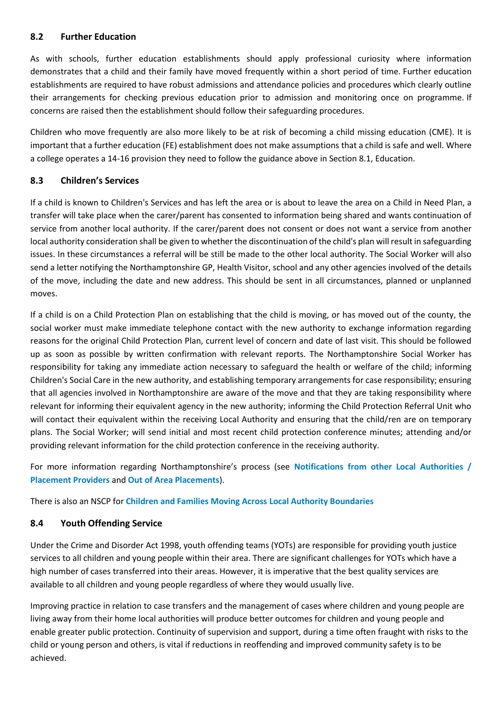### **8.2 Further Education**

As with schools, further education establishments should apply professional curiosity where information demonstrates that a child and their family have moved frequently within a short period of time. Further education establishments are required to have robust admissions and attendance policies and procedures which clearly outline their arrangements for checking previous education prior to admission and monitoring once on programme. If concerns are raised then the establishment should follow their safeguarding procedures.

Children who move frequently are also more likely to be at risk of becoming a child missing education (CME). It is important that a further education (FE) establishment does not make assumptions that a child is safe and well. Where a college operates a 14-16 provision they need to follow the guidance above in Section 8.1, Education.

### **8.3 Children's Services**

If a child is known to Children's Services and has left the area or is about to leave the area on a Child in Need Plan, a transfer will take place when the carer/parent has consented to information being shared and wants continuation of service from another local authority. If the carer/parent does not consent or does not want a service from another local authority consideration shall be given to whether the discontinuation of the child's plan will result in safeguarding issues. In these circumstances a referral will be still be made to the other local authority. The Social Worker will also send a letter notifying the Northamptonshire GP, Health Visitor, school and any other agencies involved of the details of the move, including the date and new address. This should be sent in all circumstances, planned or unplanned moves.

If a child is on a Child Protection Plan on establishing that the child is moving, or has moved out of the county, the social worker must make immediate telephone contact with the new authority to exchange information regarding reasons for the original Child Protection Plan, current level of concern and date of last visit. This should be followed up as soon as possible by written confirmation with relevant reports. The Northamptonshire Social Worker has responsibility for taking any immediate action necessary to safeguard the health or welfare of the child; informing Children's Social Care in the new authority, and establishing temporary arrangements for case responsibility; ensuring that all agencies involved in Northamptonshire are aware of the move and that they are taking responsibility where relevant for informing their equivalent agency in the new authority; informing the Child Protection Referral Unit who will contact their equivalent within the receiving Local Authority and ensuring that the child/ren are on temporary plans. The Social Worker; will send initial and most recent child protection conference minutes; attending and/or providing relevant information for the child protection conference in the receiving authority.

For more information regarding Northamptonshire's process (see **[Notifications from other Local Authorities /](https://northamptonshirechildcare.proceduresonline.com/chapters/p_reciev_notif.html)  [Placement Providers](https://northamptonshirechildcare.proceduresonline.com/chapters/p_reciev_notif.html)** and **[Out of Area Placements](https://northamptonshirechildcare.proceduresonline.com/chapters/p_out_area_place.html)**).

There is also an NSCP for **Children [and Families Moving Across](http://northamptonshirescb.proceduresonline.com/p_ch_fam_moving_across_la.html) Local Authority Boundaries**

## **8.4 Youth Offending Service**

Under the Crime and Disorder Act 1998, youth offending teams (YOTs) are responsible for providing youth justice services to all children and young people within their area. There are significant challenges for YOTs which have a high number of cases transferred into their areas. However, it is imperative that the best quality services are available to all children and young people regardless of where they would usually live.

Improving practice in relation to case transfers and the management of cases where children and young people are living away from their home local authorities will produce better outcomes for children and young people and enable greater public protection. Continuity of supervision and support, during a time often fraught with risks to the child or young person and others, is vital if reductions in reoffending and improved community safety is to be achieved.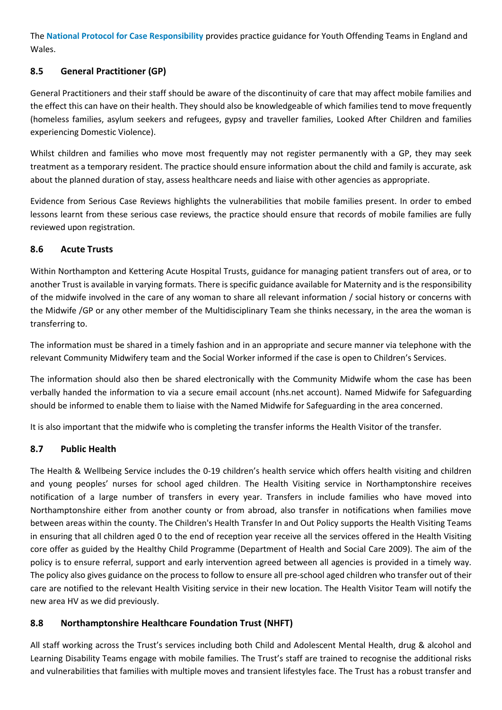The **[National Protocol for Case Responsibility](https://www.gov.uk/government/publications/national-protocol-for-case-responsibility)** provides practice guidance for Youth Offending Teams in England and Wales.

# **8.5 General Practitioner (GP)**

General Practitioners and their staff should be aware of the discontinuity of care that may affect mobile families and the effect this can have on their health. They should also be knowledgeable of which families tend to move frequently (homeless families, asylum seekers and refugees, gypsy and traveller families, Looked After Children and families experiencin[g Domestic Violence\)](http://trixresources.proceduresonline.com/nat_key/keywords/a_domestic_vio_abuse.html).

Whilst children and families who move most frequently may not register permanently with a GP, they may seek treatment as a temporary resident. The practice should ensure information about the child and family is accurate, ask about the planned duration of stay, assess healthcare needs and liaise with other agencies as appropriate.

Evidence from Serious Case Reviews highlights the vulnerabilities that mobile families present. In order to embed lessons learnt from these serious case reviews, the practice should ensure that records of mobile families are fully reviewed upon registration.

## **8.6 Acute Trusts**

Within Northampton and Kettering Acute Hospital Trusts, guidance for managing patient transfers out of area, or to another Trust is available in varying formats. There is specific guidance available for Maternity and is the responsibility of the midwife involved in the care of any woman to share all relevant information / social history or concerns with the Midwife /GP or any other member of the Multidisciplinary Team she thinks necessary, in the area the woman is transferring to.

The information must be shared in a timely fashion and in an appropriate and secure manner via telephone with the relevant Community Midwifery team and the Social Worker informed if the case is open to Children's Services.

The information should also then be shared electronically with the Community Midwife whom the case has been verbally handed the information to via a secure email account (nhs.net account). Named Midwife for Safeguarding should be informed to enable them to liaise with the Named Midwife for Safeguarding in the area concerned.

It is also important that the midwife who is completing the transfer informs the Health Visitor of the transfer.

## **8.7 Public Health**

[The Health & Wellbeing Service](https://www.lincolnshire.gov.uk/health-and-wellbeing/childrens-health/) includes the 0-19 children's health service which offers health visiting and children and young peoples' nurses for school aged children. The Health Visiting service in Northamptonshire receives notification of a large number of transfers in every year. Transfers in include families who have moved into Northamptonshire either from another county or from abroad, also transfer in notifications when families move between areas within the county. The Children's Health Transfer In and Out Policy supports the Health Visiting Teams in ensuring that all children aged 0 to the end of reception year receive all the services offered in the Health Visiting core offer as guided by the Healthy Child Programme (Department of Health and Social Care 2009). The aim of the policy is to ensure referral, support and early intervention agreed between all agencies is provided in a timely way. The policy also gives guidance on the process to follow to ensure all pre-school aged children who transfer out of their care are notified to the relevant Health Visiting service in their new location. The Health Visitor Team will notify the new area HV as we did previously.

## **8.8 Northamptonshire Healthcare Foundation Trust (NHFT)**

All staff working across the Trust's services including both Child and Adolescent Mental Health, drug & alcohol and Learning Disability Teams engage with mobile families. The Trust's staff are trained to recognise the additional risks and vulnerabilities that families with multiple moves and transient lifestyles face. The Trust has a robust transfer and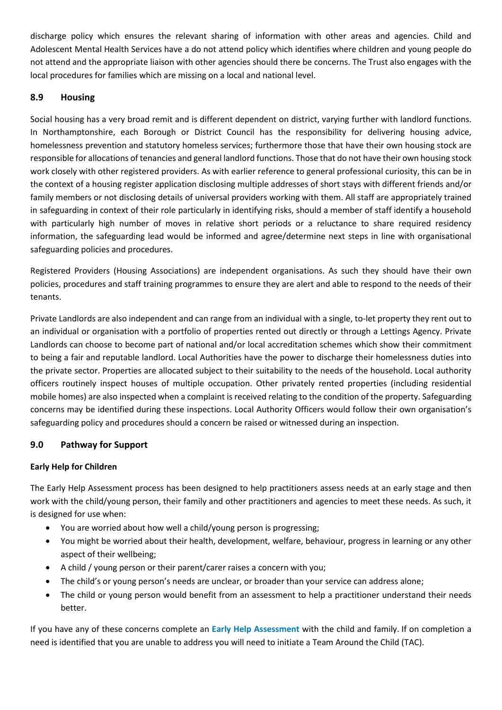discharge policy which ensures the relevant sharing of information with other areas and agencies. Child and Adolescent Mental Health Services have a do not attend policy which identifies where children and young people do not attend and the appropriate liaison with other agencies should there be concerns. The Trust also engages with the local procedures for families which are missing on a local and national level.

### **8.9 Housing**

Social housing has a very broad remit and is different dependent on district, varying further with landlord functions. In Northamptonshire, each Borough or District Council has the responsibility for delivering housing advice, homelessness prevention and statutory homeless services; furthermore those that have their own housing stock are responsible for allocations of tenancies and general landlord functions. Those that do not have their own housing stock work closely with other registered providers. As with earlier reference to general professional curiosity, this can be in the context of a housing register application disclosing multiple addresses of short stays with different friends and/or family members or not disclosing details of universal providers working with them. All staff are appropriately trained in safeguarding in context of their role particularly in identifying risks, should a member of staff identify a household with particularly high number of moves in relative short periods or a reluctance to share required residency information, the safeguarding lead would be informed and agree/determine next steps in line with organisational safeguarding policies and procedures.

Registered Providers (Housing Associations) are independent organisations. As such they should have their own policies, procedures and staff training programmes to ensure they are alert and able to respond to the needs of their tenants.

Private Landlords are also independent and can range from an individual with a single, to-let property they rent out to an individual or organisation with a portfolio of properties rented out directly or through a Lettings Agency. Private Landlords can choose to become part of national and/or local accreditation schemes which show their commitment to being a fair and reputable landlord. Local Authorities have the power to discharge their homelessness duties into the private sector. Properties are allocated subject to their suitability to the needs of the household. Local authority officers routinely inspect houses of multiple occupation. Other privately rented properties (including residential mobile homes) are also inspected when a complaint is received relating to the condition of the property. Safeguarding concerns may be identified during these inspections. Local Authority Officers would follow their own organisation's safeguarding policy and procedures should a concern be raised or witnessed during an inspection.

## **9.0 Pathway for Support**

### **Early Help for Children**

The Early Help Assessment process has been designed to help practitioners assess needs at an early stage and then work with the child/young person, their family and other practitioners and agencies to meet these needs. As such, it is designed for use when:

- You are worried about how well a child/young person is progressing;
- You might be worried about their health, development, welfare, behaviour, progress in learning or any other aspect of their wellbeing;
- A child / young person or their parent/carer raises a concern with you;
- The child's or young person's needs are unclear, or broader than your service can address alone;
- The child or young person would benefit from an assessment to help a practitioner understand their needs better.

If you have any of these concerns complete an **[Early Help Assessment](https://www3.northamptonshire.gov.uk/councilservices/children-families-education/help-and-protection-for-children/protecting-children-information-for-professionals/Pages/early-help.aspx)** with the child and family. If on completion a need is identified that you are unable to address you will need to initiate a Team Around the Child (TAC).